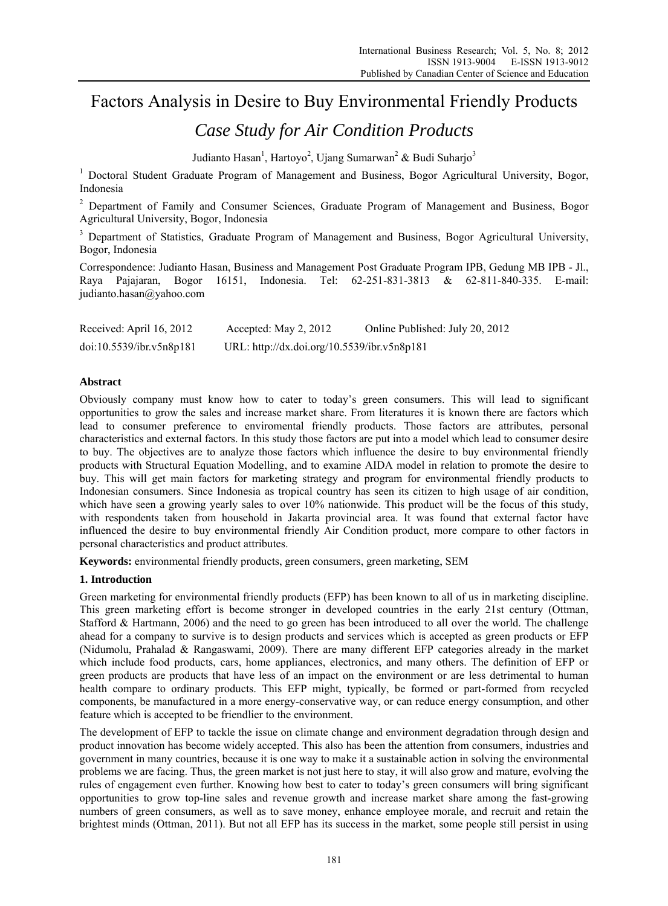# Factors Analysis in Desire to Buy Environmental Friendly Products

# *Case Study for Air Condition Products*

Judianto Hasan<sup>1</sup>, Hartoyo<sup>2</sup>, Ujang Sumarwan<sup>2</sup> & Budi Suharjo<sup>3</sup>

<sup>1</sup> Doctoral Student Graduate Program of Management and Business, Bogor Agricultural University, Bogor, Indonesia

<sup>2</sup> Department of Family and Consumer Sciences, Graduate Program of Management and Business, Bogor Agricultural University, Bogor, Indonesia

<sup>3</sup> Department of Statistics, Graduate Program of Management and Business, Bogor Agricultural University, Bogor, Indonesia

Correspondence: Judianto Hasan, Business and Management Post Graduate Program IPB, Gedung MB IPB - Jl., Raya Pajajaran, Bogor 16151, Indonesia. Tel: 62-251-831-3813 & 62-811-840-335. E-mail: judianto.hasan@yahoo.com

| Received: April 16, 2012 | Accepted: May $2, 2012$                     | Online Published: July 20, 2012 |
|--------------------------|---------------------------------------------|---------------------------------|
| doi:10.5539/ibr.v5n8p181 | URL: http://dx.doi.org/10.5539/ibr.v5n8p181 |                                 |

# **Abstract**

Obviously company must know how to cater to today's green consumers. This will lead to significant opportunities to grow the sales and increase market share. From literatures it is known there are factors which lead to consumer preference to enviromental friendly products. Those factors are attributes, personal characteristics and external factors. In this study those factors are put into a model which lead to consumer desire to buy. The objectives are to analyze those factors which influence the desire to buy environmental friendly products with Structural Equation Modelling, and to examine AIDA model in relation to promote the desire to buy. This will get main factors for marketing strategy and program for environmental friendly products to Indonesian consumers. Since Indonesia as tropical country has seen its citizen to high usage of air condition, which have seen a growing yearly sales to over 10% nationwide. This product will be the focus of this study, with respondents taken from household in Jakarta provincial area. It was found that external factor have influenced the desire to buy environmental friendly Air Condition product, more compare to other factors in personal characteristics and product attributes.

**Keywords:** environmental friendly products, green consumers, green marketing, SEM

## **1. Introduction**

Green marketing for environmental friendly products (EFP) has been known to all of us in marketing discipline. This green marketing effort is become stronger in developed countries in the early 21st century (Ottman, Stafford & Hartmann, 2006) and the need to go green has been introduced to all over the world. The challenge ahead for a company to survive is to design products and services which is accepted as green products or EFP (Nidumolu, Prahalad & Rangaswami, 2009). There are many different EFP categories already in the market which include food products, cars, home appliances, electronics, and many others. The definition of EFP or green products are products that have less of an impact on the environment or are less detrimental to human health compare to ordinary products. This EFP might, typically, be formed or part-formed from recycled components, be manufactured in a more energy-conservative way, or can reduce energy consumption, and other feature which is accepted to be friendlier to the environment.

The development of EFP to tackle the issue on climate change and environment degradation through design and product innovation has become widely accepted. This also has been the attention from consumers, industries and government in many countries, because it is one way to make it a sustainable action in solving the environmental problems we are facing. Thus, the green market is not just here to stay, it will also grow and mature, evolving the rules of engagement even further. Knowing how best to cater to today's green consumers will bring significant opportunities to grow top-line sales and revenue growth and increase market share among the fast-growing numbers of green consumers, as well as to save money, enhance employee morale, and recruit and retain the brightest minds (Ottman, 2011). But not all EFP has its success in the market, some people still persist in using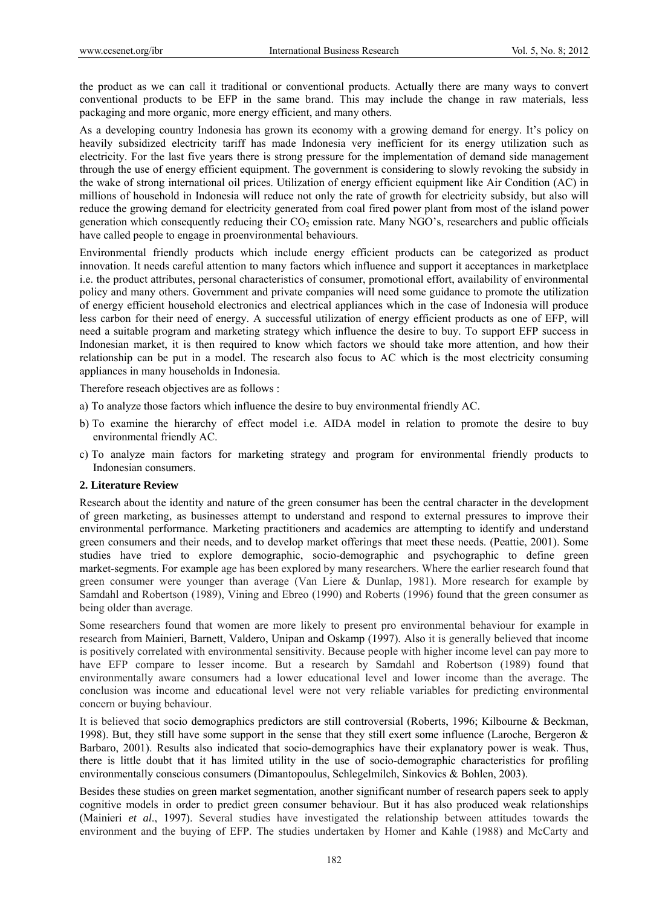the product as we can call it traditional or conventional products. Actually there are many ways to convert conventional products to be EFP in the same brand. This may include the change in raw materials, less packaging and more organic, more energy efficient, and many others.

As a developing country Indonesia has grown its economy with a growing demand for energy. It's policy on heavily subsidized electricity tariff has made Indonesia very inefficient for its energy utilization such as electricity. For the last five years there is strong pressure for the implementation of demand side management through the use of energy efficient equipment. The government is considering to slowly revoking the subsidy in the wake of strong international oil prices. Utilization of energy efficient equipment like Air Condition (AC) in millions of household in Indonesia will reduce not only the rate of growth for electricity subsidy, but also will reduce the growing demand for electricity generated from coal fired power plant from most of the island power generation which consequently reducing their  $CO<sub>2</sub>$  emission rate. Many NGO's, researchers and public officials have called people to engage in proenvironmental behaviours.

Environmental friendly products which include energy efficient products can be categorized as product innovation. It needs careful attention to many factors which influence and support it acceptances in marketplace i.e. the product attributes, personal characteristics of consumer, promotional effort, availability of environmental policy and many others. Government and private companies will need some guidance to promote the utilization of energy efficient household electronics and electrical appliances which in the case of Indonesia will produce less carbon for their need of energy. A successful utilization of energy efficient products as one of EFP, will need a suitable program and marketing strategy which influence the desire to buy. To support EFP success in Indonesian market, it is then required to know which factors we should take more attention, and how their relationship can be put in a model. The research also focus to AC which is the most electricity consuming appliances in many households in Indonesia.

Therefore reseach objectives are as follows :

- a) To analyze those factors which influence the desire to buy environmental friendly AC.
- b) To examine the hierarchy of effect model i.e. AIDA model in relation to promote the desire to buy environmental friendly AC.
- c) To analyze main factors for marketing strategy and program for environmental friendly products to Indonesian consumers.

## **2. Literature Review**

Research about the identity and nature of the green consumer has been the central character in the development of green marketing, as businesses attempt to understand and respond to external pressures to improve their environmental performance. Marketing practitioners and academics are attempting to identify and understand green consumers and their needs, and to develop market offerings that meet these needs. (Peattie, 2001). Some studies have tried to explore demographic, socio-demographic and psychographic to define green market-segments. For example age has been explored by many researchers. Where the earlier research found that green consumer were younger than average (Van Liere & Dunlap, 1981). More research for example by Samdahl and Robertson (1989), Vining and Ebreo (1990) and Roberts (1996) found that the green consumer as being older than average.

Some researchers found that women are more likely to present pro environmental behaviour for example in research from Mainieri, Barnett, Valdero, Unipan and Oskamp (1997). Also it is generally believed that income is positively correlated with environmental sensitivity. Because people with higher income level can pay more to have EFP compare to lesser income. But a research by Samdahl and Robertson (1989) found that environmentally aware consumers had a lower educational level and lower income than the average. The conclusion was income and educational level were not very reliable variables for predicting environmental concern or buying behaviour.

It is believed that socio demographics predictors are still controversial (Roberts, 1996; Kilbourne & Beckman, 1998). But, they still have some support in the sense that they still exert some influence (Laroche, Bergeron & Barbaro, 2001). Results also indicated that socio-demographics have their explanatory power is weak. Thus, there is little doubt that it has limited utility in the use of socio-demographic characteristics for profiling environmentally conscious consumers (Dimantopoulus, Schlegelmilch, Sinkovics & Bohlen, 2003).

Besides these studies on green market segmentation, another significant number of research papers seek to apply cognitive models in order to predict green consumer behaviour. But it has also produced weak relationships (Mainieri *et al*., 1997). Several studies have investigated the relationship between attitudes towards the environment and the buying of EFP. The studies undertaken by Homer and Kahle (1988) and McCarty and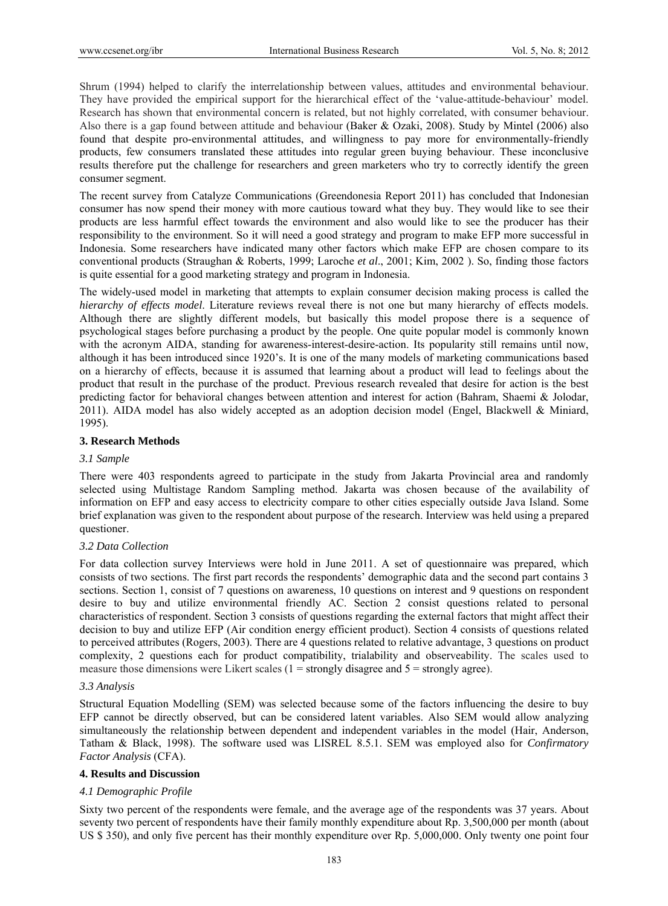Shrum (1994) helped to clarify the interrelationship between values, attitudes and environmental behaviour. They have provided the empirical support for the hierarchical effect of the 'value-attitude-behaviour' model. Research has shown that environmental concern is related, but not highly correlated, with consumer behaviour. Also there is a gap found between attitude and behaviour (Baker & Ozaki, 2008). Study by Mintel (2006) also found that despite pro-environmental attitudes, and willingness to pay more for environmentally-friendly products, few consumers translated these attitudes into regular green buying behaviour. These inconclusive results therefore put the challenge for researchers and green marketers who try to correctly identify the green consumer segment.

The recent survey from Catalyze Communications (Greendonesia Report 2011) has concluded that Indonesian consumer has now spend their money with more cautious toward what they buy. They would like to see their products are less harmful effect towards the environment and also would like to see the producer has their responsibility to the environment. So it will need a good strategy and program to make EFP more successful in Indonesia. Some researchers have indicated many other factors which make EFP are chosen compare to its conventional products (Straughan & Roberts, 1999; Laroche *et al*., 2001; Kim, 2002 ). So, finding those factors is quite essential for a good marketing strategy and program in Indonesia.

The widely-used model in marketing that attempts to explain consumer decision making process is called the *hierarchy of effects model*. Literature reviews reveal there is not one but many hierarchy of effects models. Although there are slightly different models, but basically this model propose there is a sequence of psychological stages before purchasing a product by the people. One quite popular model is commonly known with the acronym AIDA, standing for awareness-interest-desire-action. Its popularity still remains until now, although it has been introduced since 1920's. It is one of the many models of marketing communications based on a hierarchy of effects, because it is assumed that learning about a product will lead to feelings about the product that result in the purchase of the product. Previous research revealed that desire for action is the best predicting factor for behavioral changes between attention and interest for action (Bahram, Shaemi & Jolodar, 2011). AIDA model has also widely accepted as an adoption decision model (Engel, Blackwell & Miniard, 1995).

## **3. Research Methods**

#### *3.1 Sample*

There were 403 respondents agreed to participate in the study from Jakarta Provincial area and randomly selected using Multistage Random Sampling method. Jakarta was chosen because of the availability of information on EFP and easy access to electricity compare to other cities especially outside Java Island. Some brief explanation was given to the respondent about purpose of the research. Interview was held using a prepared questioner.

#### *3.2 Data Collection*

For data collection survey Interviews were hold in June 2011. A set of questionnaire was prepared, which consists of two sections. The first part records the respondents' demographic data and the second part contains 3 sections. Section 1, consist of 7 questions on awareness, 10 questions on interest and 9 questions on respondent desire to buy and utilize environmental friendly AC. Section 2 consist questions related to personal characteristics of respondent. Section 3 consists of questions regarding the external factors that might affect their decision to buy and utilize EFP (Air condition energy efficient product). Section 4 consists of questions related to perceived attributes (Rogers, 2003). There are 4 questions related to relative advantage, 3 questions on product complexity, 2 questions each for product compatibility, trialability and observeability. The scales used to measure those dimensions were Likert scales  $(1 =$  strongly disagree and  $5 =$  strongly agree).

#### *3.3 Analysis*

Structural Equation Modelling (SEM) was selected because some of the factors influencing the desire to buy EFP cannot be directly observed, but can be considered latent variables. Also SEM would allow analyzing simultaneously the relationship between dependent and independent variables in the model (Hair, Anderson, Tatham & Black, 1998). The software used was LISREL 8.5.1. SEM was employed also for *Confirmatory Factor Analysis* (CFA).

#### **4. Results and Discussion**

## *4.1 Demographic Profile*

Sixty two percent of the respondents were female, and the average age of the respondents was 37 years. About seventy two percent of respondents have their family monthly expenditure about Rp. 3,500,000 per month (about US \$ 350), and only five percent has their monthly expenditure over Rp. 5,000,000. Only twenty one point four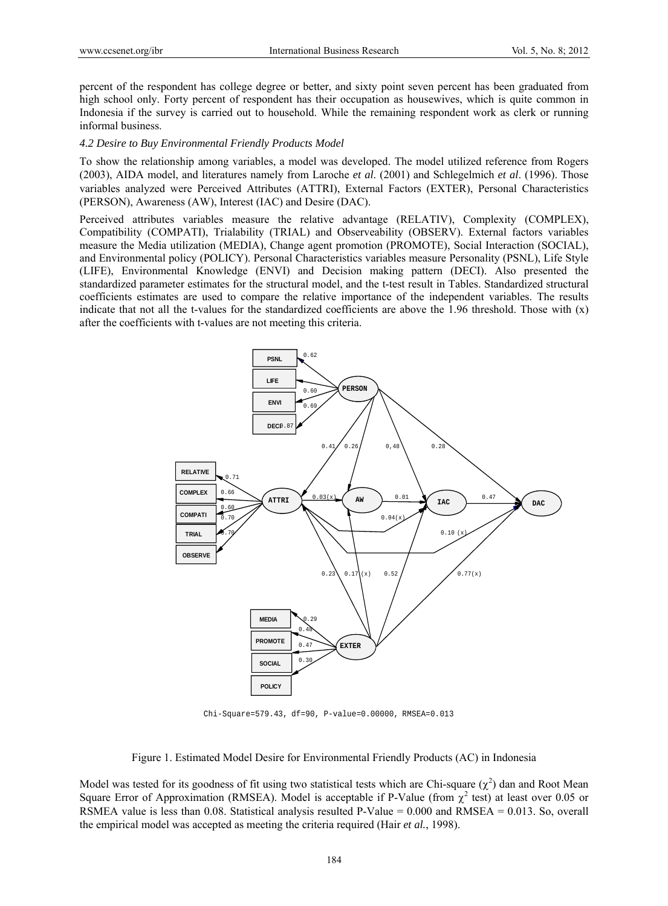percent of the respondent has college degree or better, and sixty point seven percent has been graduated from high school only. Forty percent of respondent has their occupation as housewives, which is quite common in Indonesia if the survey is carried out to household. While the remaining respondent work as clerk or running informal business.

#### *4.2 Desire to Buy Environmental Friendly Products Model*

To show the relationship among variables, a model was developed. The model utilized reference from Rogers (2003), AIDA model, and literatures namely from Laroche *et al*. (2001) and Schlegelmich *et al*. (1996). Those variables analyzed were Perceived Attributes (ATTRI), External Factors (EXTER), Personal Characteristics (PERSON), Awareness (AW), Interest (IAC) and Desire (DAC).

Perceived attributes variables measure the relative advantage (RELATIV), Complexity (COMPLEX), Compatibility (COMPATI), Trialability (TRIAL) and Observeability (OBSERV). External factors variables measure the Media utilization (MEDIA), Change agent promotion (PROMOTE), Social Interaction (SOCIAL), and Environmental policy (POLICY). Personal Characteristics variables measure Personality (PSNL), Life Style (LIFE), Environmental Knowledge (ENVI) and Decision making pattern (DECI). Also presented the standardized parameter estimates for the structural model, and the t-test result in Tables. Standardized structural coefficients estimates are used to compare the relative importance of the independent variables. The results indicate that not all the t-values for the standardized coefficients are above the  $1.96$  threshold. Those with  $(x)$ after the coefficients with t-values are not meeting this criteria.



Chi-Square=579.43, df=90, P-value=0.00000, RMSEA=0.013

Figure 1. Estimated Model Desire for Environmental Friendly Products (AC) in Indonesia

Model was tested for its goodness of fit using two statistical tests which are Chi-square  $(\chi^2)$  dan and Root Mean Square Error of Approximation (RMSEA). Model is acceptable if P-Value (from  $\chi^2$  test) at least over 0.05 or RSMEA value is less than 0.08. Statistical analysis resulted P-Value = 0.000 and RMSEA = 0.013. So, overall the empirical model was accepted as meeting the criteria required (Hair *et al.*, 1998).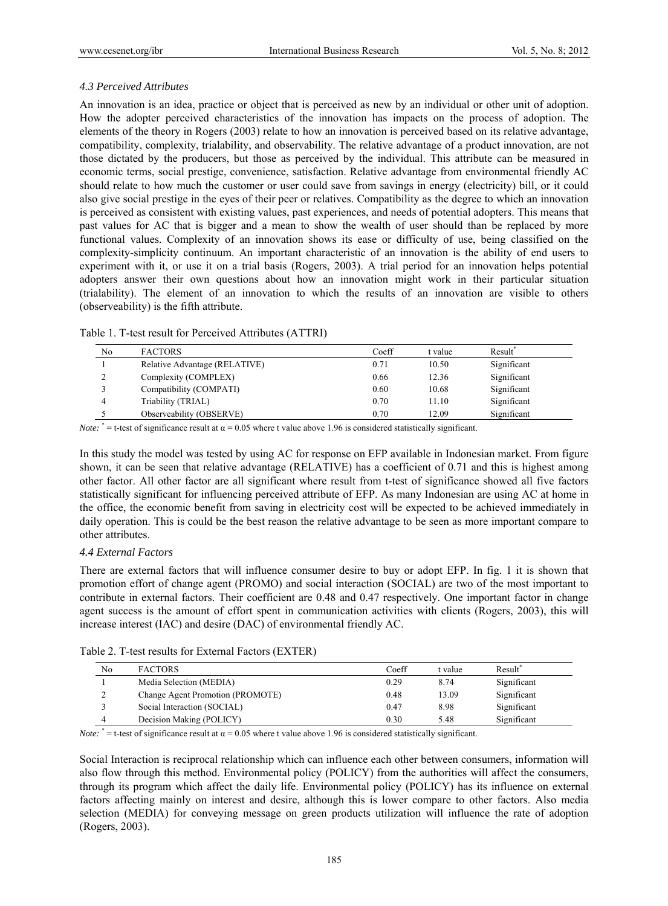# *4.3 Perceived Attributes*

An innovation is an idea, practice or object that is perceived as new by an individual or other unit of adoption. How the adopter perceived characteristics of the innovation has impacts on the process of adoption. The elements of the theory in Rogers (2003) relate to how an innovation is perceived based on its relative advantage, compatibility, complexity, trialability, and observability. The relative advantage of a product innovation, are not those dictated by the producers, but those as perceived by the individual. This attribute can be measured in economic terms, social prestige, convenience, satisfaction. Relative advantage from environmental friendly AC should relate to how much the customer or user could save from savings in energy (electricity) bill, or it could also give social prestige in the eyes of their peer or relatives. Compatibility as the degree to which an innovation is perceived as consistent with existing values, past experiences, and needs of potential adopters. This means that past values for AC that is bigger and a mean to show the wealth of user should than be replaced by more functional values. Complexity of an innovation shows its ease or difficulty of use, being classified on the complexity-simplicity continuum. An important characteristic of an innovation is the ability of end users to experiment with it, or use it on a trial basis (Rogers, 2003). A trial period for an innovation helps potential adopters answer their own questions about how an innovation might work in their particular situation (trialability). The element of an innovation to which the results of an innovation are visible to others (observeability) is the fifth attribute.

| Table 1. T-test result for Perceived Attributes (ATTRI) |  |
|---------------------------------------------------------|--|
|                                                         |  |

| No          | <b>FACTORS</b>                | Coeff | t <b>value</b> | Result <sup>®</sup> |
|-------------|-------------------------------|-------|----------------|---------------------|
|             | Relative Advantage (RELATIVE) | 0.71  | 10.50          | Significant         |
| $\sim$<br>∸ | Complexity (COMPLEX)          | 0.66  | 12.36          | Significant         |
|             | Compatibility (COMPATI)       | 0.60  | 10.68          | Significant         |
|             | Triability (TRIAL)            | 0.70  | 11.10          | Significant         |
|             | Observeability (OBSERVE)      | 0.70  | 12.09          | Significant         |

*Note:*  $* = t$ -test of significance result at  $\alpha = 0.05$  where t value above 1.96 is considered statistically significant.

In this study the model was tested by using AC for response on EFP available in Indonesian market. From figure shown, it can be seen that relative advantage (RELATIVE) has a coefficient of 0.71 and this is highest among other factor. All other factor are all significant where result from t-test of significance showed all five factors statistically significant for influencing perceived attribute of EFP. As many Indonesian are using AC at home in the office, the economic benefit from saving in electricity cost will be expected to be achieved immediately in daily operation. This is could be the best reason the relative advantage to be seen as more important compare to other attributes.

## *4.4 External Factors*

There are external factors that will influence consumer desire to buy or adopt EFP. In fig. 1 it is shown that promotion effort of change agent (PROMO) and social interaction (SOCIAL) are two of the most important to contribute in external factors. Their coefficient are 0.48 and 0.47 respectively. One important factor in change agent success is the amount of effort spent in communication activities with clients (Rogers, 2003), this will increase interest (IAC) and desire (DAC) of environmental friendly AC.

|  | Table 2. T-test results for External Factors (EXTER) |  |
|--|------------------------------------------------------|--|
|  |                                                      |  |

| No | <b>FACTORS</b>                   | Coeff | t value- | Result <sup>®</sup> |
|----|----------------------------------|-------|----------|---------------------|
|    | Media Selection (MEDIA)          | 0.29  | 8.74     | Significant         |
|    | Change Agent Promotion (PROMOTE) | 0.48  | 13.09    | Significant         |
|    | Social Interaction (SOCIAL)      | 0.47  | 8.98     | Significant         |
| 4  | Decision Making (POLICY)         | 0.30  | 5.48     | Significant         |

*Note:*  $* = t$ -test of significance result at  $\alpha = 0.05$  where t value above 1.96 is considered statistically significant.

Social Interaction is reciprocal relationship which can influence each other between consumers, information will also flow through this method. Environmental policy (POLICY) from the authorities will affect the consumers, through its program which affect the daily life. Environmental policy (POLICY) has its influence on external factors affecting mainly on interest and desire, although this is lower compare to other factors. Also media selection (MEDIA) for conveying message on green products utilization will influence the rate of adoption (Rogers, 2003).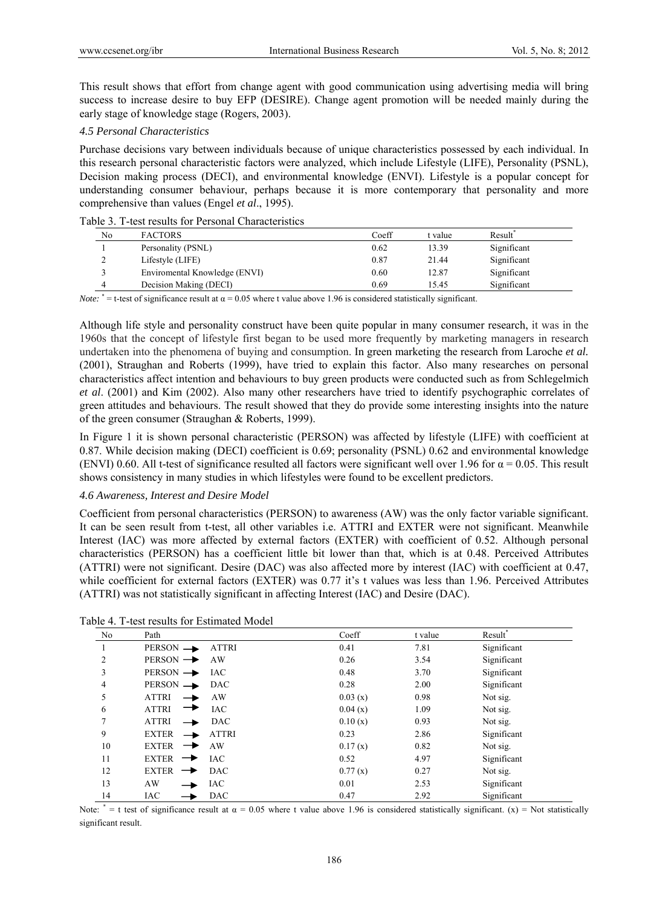This result shows that effort from change agent with good communication using advertising media will bring success to increase desire to buy EFP (DESIRE). Change agent promotion will be needed mainly during the early stage of knowledge stage (Rogers, 2003).

# *4.5 Personal Characteristics*

Purchase decisions vary between individuals because of unique characteristics possessed by each individual. In this research personal characteristic factors were analyzed, which include Lifestyle (LIFE), Personality (PSNL), Decision making process (DECI), and environmental knowledge (ENVI). Lifestyle is a popular concept for understanding consumer behaviour, perhaps because it is more contemporary that personality and more comprehensive than values (Engel *et al*., 1995).

# Table 3. T-test results for Personal Characteristics

| No | <b>FACTORS</b>                | Coeff | t value | Result <sup>®</sup> |  |
|----|-------------------------------|-------|---------|---------------------|--|
|    | Personality (PSNL)            | 0.62  | 13.39   | Significant         |  |
|    | Lifestyle (LIFE)              | 0.87  | 21.44   | Significant         |  |
|    | Enviromental Knowledge (ENVI) | 0.60  | 12.87   | Significant         |  |
| 4  | Decision Making (DECI)        | 0.69  | 15.45   | Significant         |  |

*Note:*  $* =$  t-test of significance result at  $\alpha = 0.05$  where t value above 1.96 is considered statistically significant.

Although life style and personality construct have been quite popular in many consumer research, it was in the 1960s that the concept of lifestyle first began to be used more frequently by marketing managers in research undertaken into the phenomena of buying and consumption. In green marketing the research from Laroche *et al.* (2001), Straughan and Roberts (1999), have tried to explain this factor. Also many researches on personal characteristics affect intention and behaviours to buy green products were conducted such as from Schlegelmich *et al*. (2001) and Kim (2002). Also many other researchers have tried to identify psychographic correlates of green attitudes and behaviours. The result showed that they do provide some interesting insights into the nature of the green consumer (Straughan & Roberts, 1999).

In Figure 1 it is shown personal characteristic (PERSON) was affected by lifestyle (LIFE) with coefficient at 0.87. While decision making (DECI) coefficient is 0.69; personality (PSNL) 0.62 and environmental knowledge (ENVI) 0.60. All t-test of significance resulted all factors were significant well over 1.96 for  $\alpha = 0.05$ . This result shows consistency in many studies in which lifestyles were found to be excellent predictors.

# *4.6 Awareness, Interest and Desire Model*

Coefficient from personal characteristics (PERSON) to awareness (AW) was the only factor variable significant. It can be seen result from t-test, all other variables i.e. ATTRI and EXTER were not significant. Meanwhile Interest (IAC) was more affected by external factors (EXTER) with coefficient of 0.52. Although personal characteristics (PERSON) has a coefficient little bit lower than that, which is at 0.48. Perceived Attributes (ATTRI) were not significant. Desire (DAC) was also affected more by interest (IAC) with coefficient at 0.47, while coefficient for external factors (EXTER) was 0.77 it's t values was less than 1.96. Perceived Attributes (ATTRI) was not statistically significant in affecting Interest (IAC) and Desire (DAC).

| No             | Path                                 | Coeff   | t value | Result*     |
|----------------|--------------------------------------|---------|---------|-------------|
|                | $PERSON \rightarrow$<br><b>ATTRI</b> | 0.41    | 7.81    | Significant |
| $\overline{2}$ | $PERSON \rightarrow$<br>AW           | 0.26    | 3.54    | Significant |
| 3              | $PERSON \rightarrow \text{IAC}$      | 0.48    | 3.70    | Significant |
| 4              | PERSON - DAC                         | 0.28    | 2.00    | Significant |
| 5              | <b>ATTRI</b><br>AW                   | 0.03(x) | 0.98    | Not sig.    |
| 6              | <b>ATTRI</b><br><b>IAC</b>           | 0.04(x) | 1.09    | Not sig.    |
| 7              | <b>ATTRI</b><br><b>DAC</b>           | 0.10(x) | 0.93    | Not sig.    |
| 9              | <b>EXTER</b><br><b>ATTRI</b>         | 0.23    | 2.86    | Significant |
| 10             | <b>EXTER</b><br>AW<br>→              | 0.17(x) | 0.82    | Not sig.    |
| 11             | EXTER $\rightarrow$<br><b>IAC</b>    | 0.52    | 4.97    | Significant |
| 12             | EXTER $\rightarrow$<br><b>DAC</b>    | 0.77(x) | 0.27    | Not sig.    |
| 13             | AW<br>IAC                            | 0.01    | 2.53    | Significant |
| 14             | <b>IAC</b><br><b>DAC</b>             | 0.47    | 2.92    | Significant |

Table 4. T-test results for Estimated Model

Note:  $* = t$  test of significance result at  $\alpha = 0.05$  where t value above 1.96 is considered statistically significant. (x) = Not statistically significant result.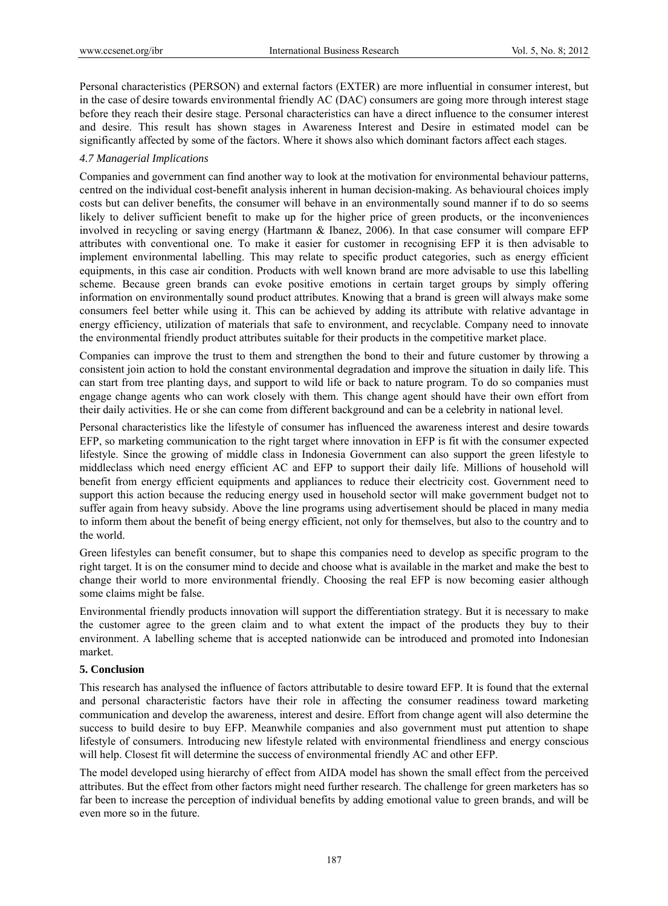Personal characteristics (PERSON) and external factors (EXTER) are more influential in consumer interest, but in the case of desire towards environmental friendly AC (DAC) consumers are going more through interest stage before they reach their desire stage. Personal characteristics can have a direct influence to the consumer interest and desire. This result has shown stages in Awareness Interest and Desire in estimated model can be significantly affected by some of the factors. Where it shows also which dominant factors affect each stages.

## *4.7 Managerial Implications*

Companies and government can find another way to look at the motivation for environmental behaviour patterns, centred on the individual cost-benefit analysis inherent in human decision-making. As behavioural choices imply costs but can deliver benefits, the consumer will behave in an environmentally sound manner if to do so seems likely to deliver sufficient benefit to make up for the higher price of green products, or the inconveniences involved in recycling or saving energy (Hartmann & Ibanez, 2006). In that case consumer will compare EFP attributes with conventional one. To make it easier for customer in recognising EFP it is then advisable to implement environmental labelling. This may relate to specific product categories, such as energy efficient equipments, in this case air condition. Products with well known brand are more advisable to use this labelling scheme. Because green brands can evoke positive emotions in certain target groups by simply offering information on environmentally sound product attributes. Knowing that a brand is green will always make some consumers feel better while using it. This can be achieved by adding its attribute with relative advantage in energy efficiency, utilization of materials that safe to environment, and recyclable. Company need to innovate the environmental friendly product attributes suitable for their products in the competitive market place.

Companies can improve the trust to them and strengthen the bond to their and future customer by throwing a consistent join action to hold the constant environmental degradation and improve the situation in daily life. This can start from tree planting days, and support to wild life or back to nature program. To do so companies must engage change agents who can work closely with them. This change agent should have their own effort from their daily activities. He or she can come from different background and can be a celebrity in national level.

Personal characteristics like the lifestyle of consumer has influenced the awareness interest and desire towards EFP, so marketing communication to the right target where innovation in EFP is fit with the consumer expected lifestyle. Since the growing of middle class in Indonesia Government can also support the green lifestyle to middleclass which need energy efficient AC and EFP to support their daily life. Millions of household will benefit from energy efficient equipments and appliances to reduce their electricity cost. Government need to support this action because the reducing energy used in household sector will make government budget not to suffer again from heavy subsidy. Above the line programs using advertisement should be placed in many media to inform them about the benefit of being energy efficient, not only for themselves, but also to the country and to the world.

Green lifestyles can benefit consumer, but to shape this companies need to develop as specific program to the right target. It is on the consumer mind to decide and choose what is available in the market and make the best to change their world to more environmental friendly. Choosing the real EFP is now becoming easier although some claims might be false.

Environmental friendly products innovation will support the differentiation strategy. But it is necessary to make the customer agree to the green claim and to what extent the impact of the products they buy to their environment. A labelling scheme that is accepted nationwide can be introduced and promoted into Indonesian market.

## **5. Conclusion**

This research has analysed the influence of factors attributable to desire toward EFP. It is found that the external and personal characteristic factors have their role in affecting the consumer readiness toward marketing communication and develop the awareness, interest and desire. Effort from change agent will also determine the success to build desire to buy EFP. Meanwhile companies and also government must put attention to shape lifestyle of consumers. Introducing new lifestyle related with environmental friendliness and energy conscious will help. Closest fit will determine the success of environmental friendly AC and other EFP.

The model developed using hierarchy of effect from AIDA model has shown the small effect from the perceived attributes. But the effect from other factors might need further research. The challenge for green marketers has so far been to increase the perception of individual benefits by adding emotional value to green brands, and will be even more so in the future.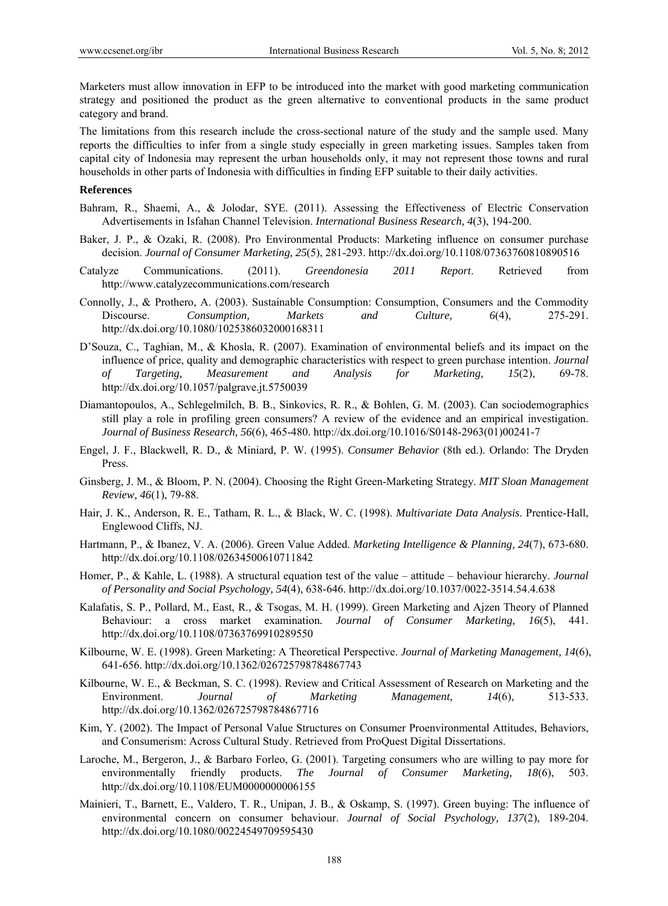Marketers must allow innovation in EFP to be introduced into the market with good marketing communication strategy and positioned the product as the green alternative to conventional products in the same product category and brand.

The limitations from this research include the cross-sectional nature of the study and the sample used. Many reports the difficulties to infer from a single study especially in green marketing issues. Samples taken from capital city of Indonesia may represent the urban households only, it may not represent those towns and rural households in other parts of Indonesia with difficulties in finding EFP suitable to their daily activities.

#### **References**

- Bahram, R., Shaemi, A., & Jolodar, SYE. (2011). Assessing the Effectiveness of Electric Conservation Advertisements in Isfahan Channel Television. *International Business Research, 4*(3), 194-200.
- Baker, J. P., & Ozaki, R. (2008). Pro Environmental Products: Marketing influence on consumer purchase decision. *Journal of Consumer Marketing, 25*(5), 281-293. http://dx.doi.org/10.1108/07363760810890516
- Catalyze Communications. (2011). *Greendonesia 2011 Report*. Retrieved from http://www.catalyzecommunications.com/research
- Connolly, J., & Prothero, A. (2003). Sustainable Consumption: Consumption, Consumers and the Commodity Discourse. *Consumption, Markets and Culture, 6*(4), 275-291. http://dx.doi.org/10.1080/1025386032000168311
- D'Souza, C., Taghian, M., & Khosla, R. (2007). Examination of environmental beliefs and its impact on the influence of price, quality and demographic characteristics with respect to green purchase intention. *Journal of Targeting, Measurement and Analysis for Marketing, 15*(2), 69-78. http://dx.doi.org/10.1057/palgrave.jt.5750039
- Diamantopoulos, A., Schlegelmilch, B. B., Sinkovics, R. R., & Bohlen, G. M. (2003). Can sociodemographics still play a role in profiling green consumers? A review of the evidence and an empirical investigation. *Journal of Business Research, 56*(6), 465-480. http://dx.doi.org/10.1016/S0148-2963(01)00241-7
- Engel, J. F., Blackwell, R. D., & Miniard, P. W. (1995). *Consumer Behavior* (8th ed.). Orlando: The Dryden Press.
- Ginsberg, J. M., & Bloom, P. N. (2004). Choosing the Right Green-Marketing Strategy. *MIT Sloan Management Review, 46*(1), 79-88.
- Hair, J. K., Anderson, R. E., Tatham, R. L., & Black, W. C. (1998). *Multivariate Data Analysis*. Prentice-Hall, Englewood Cliffs, NJ.
- Hartmann, P., & Ibanez, V. A. (2006). Green Value Added. *Marketing Intelligence & Planning, 24*(7), 673-680. http://dx.doi.org/10.1108/02634500610711842
- Homer, P., & Kahle, L. (1988). A structural equation test of the value attitude behaviour hierarchy. *Journal of Personality and Social Psychology, 54*(4), 638-646. http://dx.doi.org/10.1037/0022-3514.54.4.638
- Kalafatis, S. P., Pollard, M., East, R., & Tsogas, M. H. (1999). Green Marketing and Ajzen Theory of Planned Behaviour: a cross market examination*. Journal of Consumer Marketing, 16*(5), 441. http://dx.doi.org/10.1108/07363769910289550
- Kilbourne, W. E. (1998). Green Marketing: A Theoretical Perspective. *Journal of Marketing Management, 14*(6), 641-656. http://dx.doi.org/10.1362/026725798784867743
- Kilbourne, W. E., & Beckman, S. C. (1998). Review and Critical Assessment of Research on Marketing and the Environment. *Journal of Marketing Management, 14*(6), 513-533. http://dx.doi.org/10.1362/026725798784867716
- Kim, Y. (2002). The Impact of Personal Value Structures on Consumer Proenvironmental Attitudes, Behaviors, and Consumerism: Across Cultural Study. Retrieved from ProQuest Digital Dissertations.
- Laroche, M., Bergeron, J., & Barbaro Forleo, G. (2001). Targeting consumers who are willing to pay more for environmentally friendly products. *The Journal of Consumer Marketing, 18*(6), 503. http://dx.doi.org/10.1108/EUM0000000006155
- Mainieri, T., Barnett, E., Valdero, T. R., Unipan, J. B., & Oskamp, S. (1997). Green buying: The influence of environmental concern on consumer behaviour. *Journal of Social Psychology, 137*(2), 189-204. http://dx.doi.org/10.1080/00224549709595430